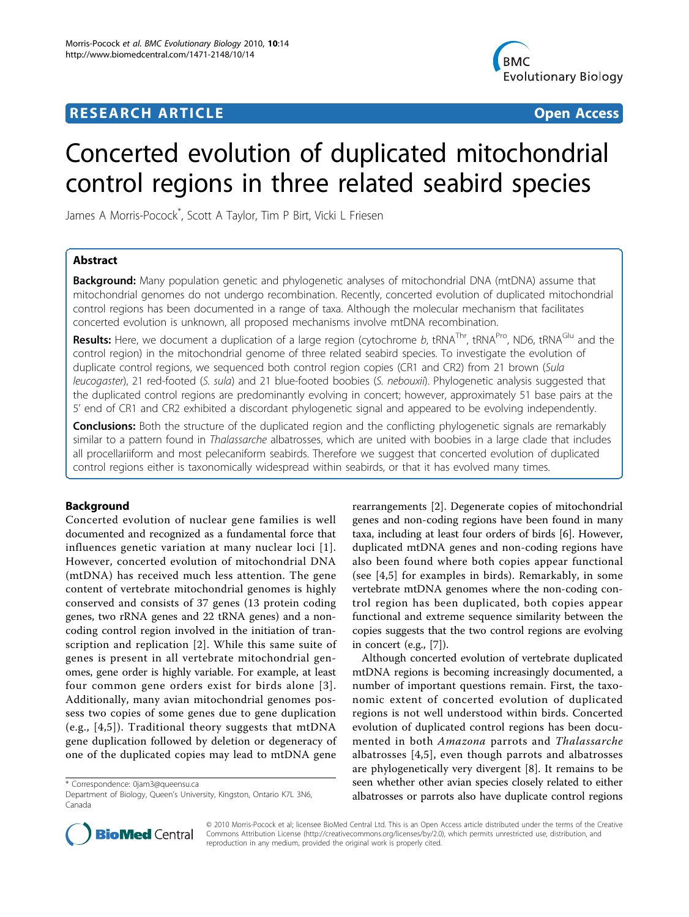## **RESEARCH ARTICLE Example 2018 CONSUMING ACCESS**



# Concerted evolution of duplicated mitochondrial control regions in three related seabird species

James A Morris-Pocock\* , Scott A Taylor, Tim P Birt, Vicki L Friesen

## Abstract

**Background:** Many population genetic and phylogenetic analyses of mitochondrial DNA (mtDNA) assume that mitochondrial genomes do not undergo recombination. Recently, concerted evolution of duplicated mitochondrial control regions has been documented in a range of taxa. Although the molecular mechanism that facilitates concerted evolution is unknown, all proposed mechanisms involve mtDNA recombination.

Results: Here, we document a duplication of a large region (cytochrome b, tRNAThr, tRNAPro, ND6, tRNAGlu and the control region) in the mitochondrial genome of three related seabird species. To investigate the evolution of duplicate control regions, we sequenced both control region copies (CR1 and CR2) from 21 brown (Sula leucogaster), 21 red-footed (S. sula) and 21 blue-footed boobies (S. nebouxii). Phylogenetic analysis suggested that the duplicated control regions are predominantly evolving in concert; however, approximately 51 base pairs at the 5' end of CR1 and CR2 exhibited a discordant phylogenetic signal and appeared to be evolving independently.

**Conclusions:** Both the structure of the duplicated region and the conflicting phylogenetic signals are remarkably similar to a pattern found in Thalassarche albatrosses, which are united with boobies in a large clade that includes all procellariiform and most pelecaniform seabirds. Therefore we suggest that concerted evolution of duplicated control regions either is taxonomically widespread within seabirds, or that it has evolved many times.

## Background

Concerted evolution of nuclear gene families is well documented and recognized as a fundamental force that influences genetic variation at many nuclear loci [[1\]](#page-9-0). However, concerted evolution of mitochondrial DNA (mtDNA) has received much less attention. The gene content of vertebrate mitochondrial genomes is highly conserved and consists of 37 genes (13 protein coding genes, two rRNA genes and 22 tRNA genes) and a noncoding control region involved in the initiation of transcription and replication [\[2](#page-9-0)]. While this same suite of genes is present in all vertebrate mitochondrial genomes, gene order is highly variable. For example, at least four common gene orders exist for birds alone [[3\]](#page-9-0). Additionally, many avian mitochondrial genomes possess two copies of some genes due to gene duplication (e.g., [[4,5\]](#page-9-0)). Traditional theory suggests that mtDNA gene duplication followed by deletion or degeneracy of one of the duplicated copies may lead to mtDNA gene

\* Correspondence: [0jam3@queensu.ca](mailto:0jam3@queensu.ca)

rearrangements [[2\]](#page-9-0). Degenerate copies of mitochondrial genes and non-coding regions have been found in many taxa, including at least four orders of birds [[6\]](#page-9-0). However, duplicated mtDNA genes and non-coding regions have also been found where both copies appear functional (see [[4](#page-9-0),[5\]](#page-9-0) for examples in birds). Remarkably, in some vertebrate mtDNA genomes where the non-coding control region has been duplicated, both copies appear functional and extreme sequence similarity between the copies suggests that the two control regions are evolving in concert (e.g., [[7](#page-9-0)]).

Although concerted evolution of vertebrate duplicated mtDNA regions is becoming increasingly documented, a number of important questions remain. First, the taxonomic extent of concerted evolution of duplicated regions is not well understood within birds. Concerted evolution of duplicated control regions has been documented in both Amazona parrots and Thalassarche albatrosses [[4,5](#page-9-0)], even though parrots and albatrosses are phylogenetically very divergent [\[8](#page-9-0)]. It remains to be seen whether other avian species closely related to either albatrosses or parrots also have duplicate control regions



© 2010 Morris-Pocock et al; licensee BioMed Central Ltd. This is an Open Access article distributed under the terms of the Creative Commons Attribution License [\(http://creativecommons.org/licenses/by/2.0](http://creativecommons.org/licenses/by/2.0)), which permits unrestricted use, distribution, and reproduction in any medium, provided the original work is properly cited.

Department of Biology, Queen's University, Kingston, Ontario K7L 3N6, Canada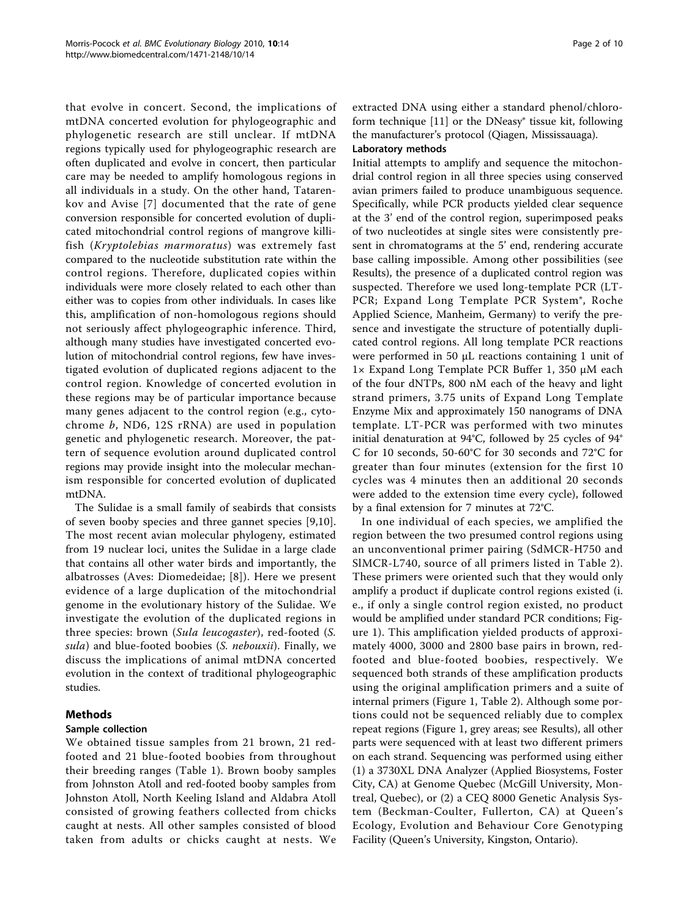that evolve in concert. Second, the implications of mtDNA concerted evolution for phylogeographic and phylogenetic research are still unclear. If mtDNA regions typically used for phylogeographic research are often duplicated and evolve in concert, then particular care may be needed to amplify homologous regions in all individuals in a study. On the other hand, Tatarenkov and Avise [[7\]](#page-9-0) documented that the rate of gene conversion responsible for concerted evolution of duplicated mitochondrial control regions of mangrove killifish (Kryptolebias marmoratus) was extremely fast compared to the nucleotide substitution rate within the control regions. Therefore, duplicated copies within individuals were more closely related to each other than either was to copies from other individuals. In cases like this, amplification of non-homologous regions should not seriously affect phylogeographic inference. Third, although many studies have investigated concerted evolution of mitochondrial control regions, few have investigated evolution of duplicated regions adjacent to the control region. Knowledge of concerted evolution in these regions may be of particular importance because many genes adjacent to the control region (e.g., cytochrome b, ND6, 12S rRNA) are used in population genetic and phylogenetic research. Moreover, the pattern of sequence evolution around duplicated control regions may provide insight into the molecular mechanism responsible for concerted evolution of duplicated mtDNA.

The Sulidae is a small family of seabirds that consists of seven booby species and three gannet species [[9,10](#page-9-0)]. The most recent avian molecular phylogeny, estimated from 19 nuclear loci, unites the Sulidae in a large clade that contains all other water birds and importantly, the albatrosses (Aves: Diomedeidae; [[8\]](#page-9-0)). Here we present evidence of a large duplication of the mitochondrial genome in the evolutionary history of the Sulidae. We investigate the evolution of the duplicated regions in three species: brown (Sula leucogaster), red-footed (S. sula) and blue-footed boobies (S. *nebouxii*). Finally, we discuss the implications of animal mtDNA concerted evolution in the context of traditional phylogeographic studies.

## Methods

## Sample collection

We obtained tissue samples from 21 brown, 21 redfooted and 21 blue-footed boobies from throughout their breeding ranges (Table [1](#page-2-0)). Brown booby samples from Johnston Atoll and red-footed booby samples from Johnston Atoll, North Keeling Island and Aldabra Atoll consisted of growing feathers collected from chicks caught at nests. All other samples consisted of blood taken from adults or chicks caught at nests. We

extracted DNA using either a standard phenol/chloroform technique  $[11]$  $[11]$  or the DNeasy<sup>®</sup> tissue kit, following the manufacturer's protocol (Qiagen, Mississauaga).

## Laboratory methods

Initial attempts to amplify and sequence the mitochondrial control region in all three species using conserved avian primers failed to produce unambiguous sequence. Specifically, while PCR products yielded clear sequence at the 3' end of the control region, superimposed peaks of two nucleotides at single sites were consistently present in chromatograms at the 5' end, rendering accurate base calling impossible. Among other possibilities (see Results), the presence of a duplicated control region was suspected. Therefore we used long-template PCR (LT-PCR; Expand Long Template PCR System®, Roche Applied Science, Manheim, Germany) to verify the presence and investigate the structure of potentially duplicated control regions. All long template PCR reactions were performed in 50 μL reactions containing 1 unit of 1× Expand Long Template PCR Buffer 1, 350 μM each of the four dNTPs, 800 nM each of the heavy and light strand primers, 3.75 units of Expand Long Template Enzyme Mix and approximately 150 nanograms of DNA template. LT-PCR was performed with two minutes initial denaturation at 94°C, followed by 25 cycles of 94° C for 10 seconds, 50-60°C for 30 seconds and 72°C for greater than four minutes (extension for the first 10 cycles was 4 minutes then an additional 20 seconds were added to the extension time every cycle), followed by a final extension for 7 minutes at 72°C.

In one individual of each species, we amplified the region between the two presumed control regions using an unconventional primer pairing (SdMCR-H750 and SlMCR-L740, source of all primers listed in Table [2\)](#page-2-0). These primers were oriented such that they would only amplify a product if duplicate control regions existed (i. e., if only a single control region existed, no product would be amplified under standard PCR conditions; Figure [1\)](#page-3-0). This amplification yielded products of approximately 4000, 3000 and 2800 base pairs in brown, redfooted and blue-footed boobies, respectively. We sequenced both strands of these amplification products using the original amplification primers and a suite of internal primers (Figure [1,](#page-3-0) Table [2\)](#page-2-0). Although some portions could not be sequenced reliably due to complex repeat regions (Figure [1,](#page-3-0) grey areas; see Results), all other parts were sequenced with at least two different primers on each strand. Sequencing was performed using either (1) a 3730XL DNA Analyzer (Applied Biosystems, Foster City, CA) at Genome Quebec (McGill University, Montreal, Quebec), or (2) a CEQ 8000 Genetic Analysis System (Beckman-Coulter, Fullerton, CA) at Queen's Ecology, Evolution and Behaviour Core Genotyping Facility (Queen's University, Kingston, Ontario).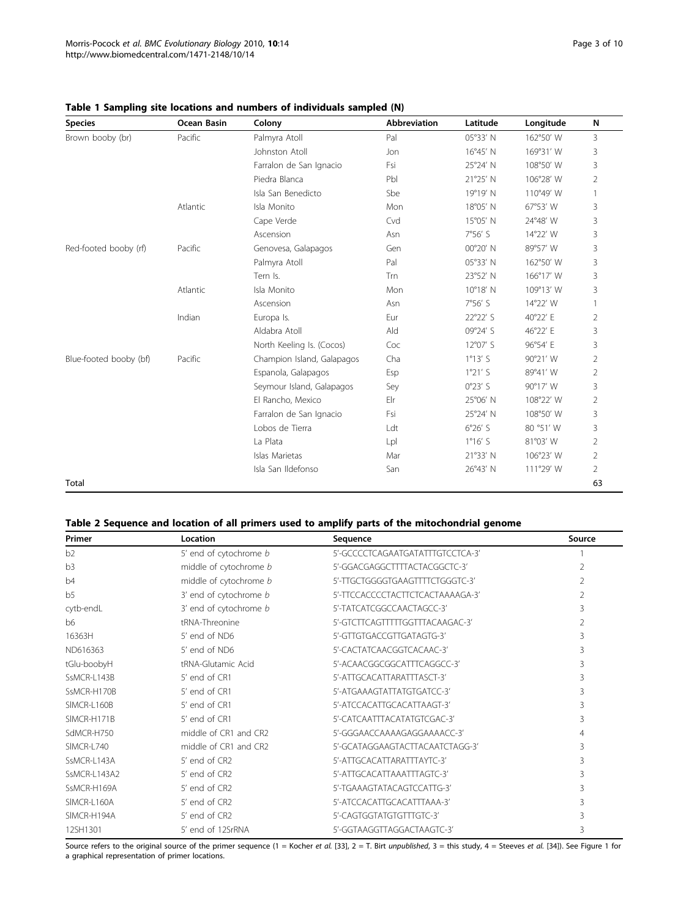| <b>Species</b>         | Ocean Basin | Colony                     | <b>Abbreviation</b> | Latitude          | Longitude | N              |
|------------------------|-------------|----------------------------|---------------------|-------------------|-----------|----------------|
| Brown booby (br)       | Pacific     | Palmyra Atoll              | Pal                 | 05°33' N          | 162°50' W | 3              |
|                        |             | Johnston Atoll             | Jon                 | 16°45' N          | 169°31' W | 3              |
|                        |             | Farralon de San Ignacio    | Fsi                 | 25°24' N          | 108°50' W | 3              |
|                        |             | Piedra Blanca              | Pbl                 | 21°25' N          | 106°28' W | 2              |
|                        |             | Isla San Benedicto         | Sbe                 | 19°19' N          | 110°49' W |                |
|                        | Atlantic    | Isla Monito                | Mon                 | 18°05' N          | 67°53' W  | 3              |
|                        |             | Cape Verde                 | Cvd                 | 15°05' N          | 24°48' W  | 3              |
|                        |             | Ascension                  | Asn                 | $7°56'$ S         | 14°22' W  | 3              |
| Red-footed booby (rf)  | Pacific     | Genovesa, Galapagos        | Gen                 | 00°20' N          | 89°57' W  | 3              |
|                        |             | Palmyra Atoll              | Pal                 | 05°33' N          | 162°50' W | 3              |
|                        |             | Tern Is.                   | Trn                 | 23°52' N          | 166°17' W | 3              |
|                        | Atlantic    | Isla Monito                | Mon                 | $10^{\circ}18'$ N | 109°13' W | 3              |
|                        |             | Ascension                  | Asn                 | 7°56' S           | 14°22' W  |                |
|                        | Indian      | Europa Is.                 | Eur                 | 22°22' S          | 40°22' E  | $\overline{2}$ |
|                        |             | Aldabra Atoll              | Ald                 | 09°24' S          | 46°22' E  | 3              |
|                        |             | North Keeling Is. (Cocos)  | Coc                 | 12°07′ S          | 96°54' E  | 3              |
| Blue-footed booby (bf) | Pacific     | Champion Island, Galapagos | Cha                 | $1°13'$ S         | 90°21' W  | $\overline{2}$ |
|                        |             | Espanola, Galapagos        | Esp                 | $1°21'$ S         | 89°41' W  | 2              |
|                        |             | Seymour Island, Galapagos  | Sey                 | $0°23'$ S         | 90°17' W  | 3              |
|                        |             | El Rancho, Mexico          | Elr                 | 25°06' N          | 108°22' W | $\overline{2}$ |
|                        |             | Farralon de San Ignacio    | Fsi                 | 25°24' N          | 108°50' W | 3              |
|                        |             | Lobos de Tierra            | Ldt                 | $6^{\circ}26'$ S  | 80 °51' W | 3              |
|                        |             | La Plata                   | Lpl                 | $1°16'$ S         | 81°03' W  | 2              |
|                        |             | Islas Marietas             | Mar                 | 21°33' N          | 106°23' W | $\overline{2}$ |
|                        |             | Isla San Ildefonso         | San                 | 26°43' N          | 111°29' W | $\overline{2}$ |
| <b>Total</b>           |             |                            |                     |                   |           | 63             |

<span id="page-2-0"></span>

|  |  |  |  |  |  | Table 1 Sampling site locations and numbers of individuals sampled (N) |
|--|--|--|--|--|--|------------------------------------------------------------------------|
|--|--|--|--|--|--|------------------------------------------------------------------------|

Table 2 Sequence and location of all primers used to amplify parts of the mitochondrial genome

| Primer         | Location               | Sequence                         | Source         |  |
|----------------|------------------------|----------------------------------|----------------|--|
| b2             | 5' end of cytochrome b | 5'-GCCCCTCAGAATGATATTTGTCCTCA-3' |                |  |
| b3             | middle of cytochrome b | 5'-GGACGAGGCTTTTACTACGGCTC-3'    | 2              |  |
| b <sub>4</sub> | middle of cytochrome b | 5'-TTGCTGGGGTGAAGTTTTCTGGGTC-3'  | $\mathfrak{D}$ |  |
| b <sub>5</sub> | 3' end of cytochrome b | 5'-TTCCACCCCTACTTCTCACTAAAAGA-3' | 2              |  |
| cytb-endL      | 3' end of cytochrome b | 5'-TATCATCGGCCAACTAGCC-3'        | 3              |  |
| b <sub>6</sub> | tRNA-Threonine         | 5'-GTCTTCAGTTTTTGGTTTACAAGAC-3'  | 2              |  |
| 16363H         | 5' end of ND6          | 5'-GTTGTGACCGTTGATAGTG-3'        | 3              |  |
| ND616363       | 5' end of ND6          | 5'-CACTATCAACGGTCACAAC-3'        | 3              |  |
| tGlu-boobyH    | tRNA-Glutamic Acid     | 5'-ACAACGGCGGCATTTCAGGCC-3'      | 3              |  |
| SsMCR-L143B    | 5' end of CR1          | 5'-ATTGCACATTARATTTASCT-3'       | 3              |  |
| SsMCR-H170B    | 5' end of CR1          | 5'-ATGAAAGTATTATGTGATCC-3'       | 3              |  |
| SIMCR-L160B    | 5' end of CR1          | 5'-ATCCACATTGCACATTAAGT-3'       | 3              |  |
| SIMCR-H171B    | 5' end of CR1          | 5'-CATCAATTTACATATGTCGAC-3'      | 3              |  |
| SdMCR-H750     | middle of CR1 and CR2  | 5'-GGGAACCAAAAGAGGAAAACC-3'      | 4              |  |
| SIMCR-L740     | middle of CR1 and CR2  | 5'-GCATAGGAAGTACTTACAATCTAGG-3'  | 3              |  |
| SsMCR-I 143A   | $5'$ end of $CR2$      | 5'-ATTGCACATTARATTTAYTC-3'       | 3              |  |
| SsMCR-L143A2   | 5' end of CR2          | 5'-ATTGCACATTAAATTTAGTC-3'       | 3              |  |
| SsMCR-H169A    | 5' end of CR2          | 5'-TGAAAGTATACAGTCCATTG-3'       | 3              |  |
| SIMCR-L160A    | 5' end of CR2          | 5'-ATCCACATTGCACATTTAAA-3'       | 3              |  |
| SIMCR-H194A    | 5' end of CR2          | 5'-CAGTGGTATGTGTTTGTC-3'         | 3              |  |
| 12SH1301       | 5' end of 12SrRNA      | 5'-GGTAAGGTTAGGACTAAGTC-3'       | 3              |  |

Source refers to the original source of the primer sequence (1 = Kocher et al. [[33\]](#page-9-0), 2 = T. Birt unpublished, 3 = this study, 4 = Steeves et al. [[34\]](#page-9-0)). See Figure 1 for a graphical representation of primer locations.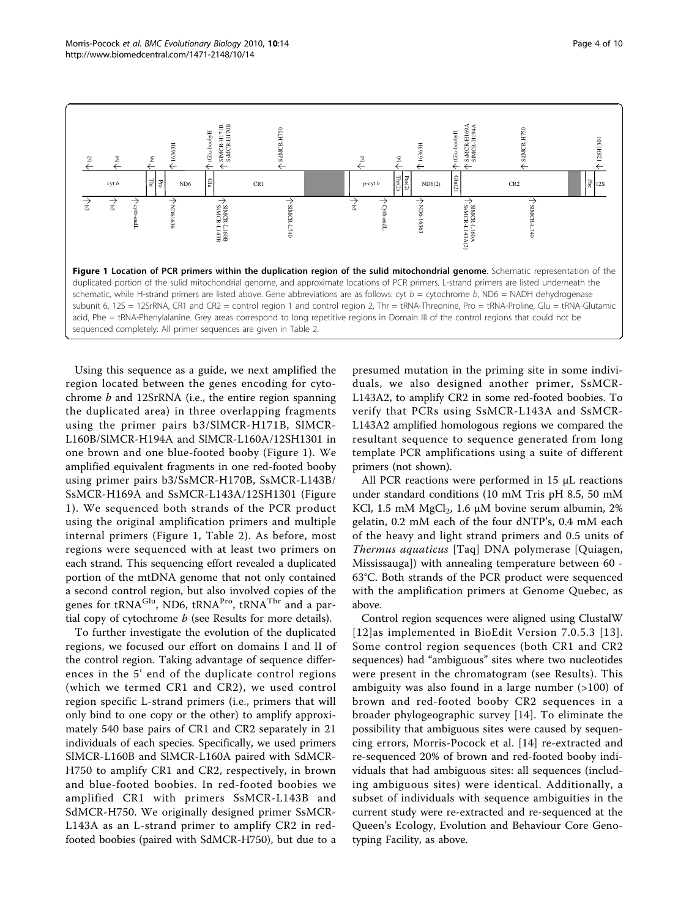<span id="page-3-0"></span>

Using this sequence as a guide, we next amplified the region located between the genes encoding for cytochrome  $b$  and 12SrRNA (i.e., the entire region spanning the duplicated area) in three overlapping fragments using the primer pairs b3/SlMCR-H171B, SlMCR-L160B/SlMCR-H194A and SlMCR-L160A/12SH1301 in one brown and one blue-footed booby (Figure 1). We amplified equivalent fragments in one red-footed booby using primer pairs b3/SsMCR-H170B, SsMCR-L143B/ SsMCR-H169A and SsMCR-L143A/12SH1301 (Figure 1). We sequenced both strands of the PCR product using the original amplification primers and multiple internal primers (Figure 1, Table [2](#page-2-0)). As before, most regions were sequenced with at least two primers on each strand. This sequencing effort revealed a duplicated portion of the mtDNA genome that not only contained a second control region, but also involved copies of the genes for tRNA<sup>Glu</sup>, ND6, tRNA<sup>Pro</sup>, tRNA<sup>Thr</sup> and a partial copy of cytochrome b (see Results for more details).

To further investigate the evolution of the duplicated regions, we focused our effort on domains I and II of the control region. Taking advantage of sequence differences in the 5' end of the duplicate control regions (which we termed CR1 and CR2), we used control region specific L-strand primers (i.e., primers that will only bind to one copy or the other) to amplify approximately 540 base pairs of CR1 and CR2 separately in 21 individuals of each species. Specifically, we used primers SlMCR-L160B and SlMCR-L160A paired with SdMCR-H750 to amplify CR1 and CR2, respectively, in brown and blue-footed boobies. In red-footed boobies we amplified CR1 with primers SsMCR-L143B and SdMCR-H750. We originally designed primer SsMCR-L143A as an L-strand primer to amplify CR2 in redfooted boobies (paired with SdMCR-H750), but due to a

presumed mutation in the priming site in some individuals, we also designed another primer, SsMCR-L143A2, to amplify CR2 in some red-footed boobies. To verify that PCRs using SsMCR-L143A and SsMCR-L143A2 amplified homologous regions we compared the resultant sequence to sequence generated from long template PCR amplifications using a suite of different primers (not shown).

All PCR reactions were performed in 15 μL reactions under standard conditions (10 mM Tris pH 8.5, 50 mM KCl, 1.5 mM  $MgCl<sub>2</sub>$ , 1.6 µM bovine serum albumin, 2% gelatin, 0.2 mM each of the four dNTP's, 0.4 mM each of the heavy and light strand primers and 0.5 units of Thermus aquaticus [Taq] DNA polymerase [Quiagen, Mississauga]) with annealing temperature between 60 - 63°C. Both strands of the PCR product were sequenced with the amplification primers at Genome Quebec, as above.

Control region sequences were aligned using ClustalW [[12](#page-9-0)]as implemented in BioEdit Version 7.0.5.3 [[13\]](#page-9-0). Some control region sequences (both CR1 and CR2 sequences) had "ambiguous" sites where two nucleotides were present in the chromatogram (see Results). This ambiguity was also found in a large number  $($ >100) of brown and red-footed booby CR2 sequences in a broader phylogeographic survey [[14](#page-9-0)]. To eliminate the possibility that ambiguous sites were caused by sequencing errors, Morris-Pocock et al. [[14\]](#page-9-0) re-extracted and re-sequenced 20% of brown and red-footed booby individuals that had ambiguous sites: all sequences (including ambiguous sites) were identical. Additionally, a subset of individuals with sequence ambiguities in the current study were re-extracted and re-sequenced at the Queen's Ecology, Evolution and Behaviour Core Genotyping Facility, as above.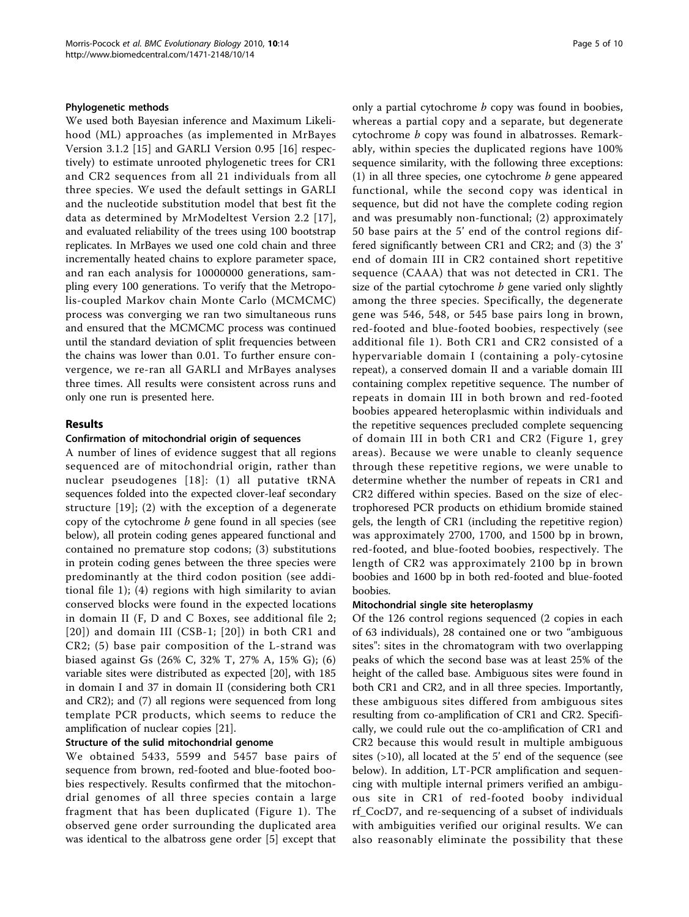#### Phylogenetic methods

We used both Bayesian inference and Maximum Likelihood (ML) approaches (as implemented in MrBayes Version 3.1.2 [[15\]](#page-9-0) and GARLI Version 0.95 [\[16](#page-9-0)] respectively) to estimate unrooted phylogenetic trees for CR1 and CR2 sequences from all 21 individuals from all three species. We used the default settings in GARLI and the nucleotide substitution model that best fit the data as determined by MrModeltest Version 2.2 [[17\]](#page-9-0), and evaluated reliability of the trees using 100 bootstrap replicates. In MrBayes we used one cold chain and three incrementally heated chains to explore parameter space, and ran each analysis for 10000000 generations, sampling every 100 generations. To verify that the Metropolis-coupled Markov chain Monte Carlo (MCMCMC) process was converging we ran two simultaneous runs and ensured that the MCMCMC process was continued until the standard deviation of split frequencies between the chains was lower than 0.01. To further ensure convergence, we re-ran all GARLI and MrBayes analyses three times. All results were consistent across runs and only one run is presented here.

### Results

#### Confirmation of mitochondrial origin of sequences

A number of lines of evidence suggest that all regions sequenced are of mitochondrial origin, rather than nuclear pseudogenes [[18\]](#page-9-0): (1) all putative tRNA sequences folded into the expected clover-leaf secondary structure [[19](#page-9-0)]; (2) with the exception of a degenerate copy of the cytochrome b gene found in all species (see below), all protein coding genes appeared functional and contained no premature stop codons; (3) substitutions in protein coding genes between the three species were predominantly at the third codon position (see additional file [1](#page-8-0)); (4) regions with high similarity to avian conserved blocks were found in the expected locations in domain II (F, D and C Boxes, see additional file [2](#page-8-0); [[20\]](#page-9-0)) and domain III (CSB-1; [[20](#page-9-0)]) in both CR1 and CR2; (5) base pair composition of the L-strand was biased against Gs (26% C, 32% T, 27% A, 15% G); (6) variable sites were distributed as expected [\[20](#page-9-0)], with 185 in domain I and 37 in domain II (considering both CR1 and CR2); and (7) all regions were sequenced from long template PCR products, which seems to reduce the amplification of nuclear copies [\[21\]](#page-9-0).

#### Structure of the sulid mitochondrial genome

We obtained 5433, 5599 and 5457 base pairs of sequence from brown, red-footed and blue-footed boobies respectively. Results confirmed that the mitochondrial genomes of all three species contain a large fragment that has been duplicated (Figure [1\)](#page-3-0). The observed gene order surrounding the duplicated area was identical to the albatross gene order [[5\]](#page-9-0) except that only a partial cytochrome  $b$  copy was found in boobies, whereas a partial copy and a separate, but degenerate cytochrome b copy was found in albatrosses. Remarkably, within species the duplicated regions have 100% sequence similarity, with the following three exceptions: (1) in all three species, one cytochrome  $b$  gene appeared functional, while the second copy was identical in sequence, but did not have the complete coding region and was presumably non-functional; (2) approximately 50 base pairs at the 5' end of the control regions differed significantly between CR1 and CR2; and (3) the 3' end of domain III in CR2 contained short repetitive sequence (CAAA) that was not detected in CR1. The size of the partial cytochrome  $b$  gene varied only slightly among the three species. Specifically, the degenerate gene was 546, 548, or 545 base pairs long in brown, red-footed and blue-footed boobies, respectively (see additional file [1](#page-8-0)). Both CR1 and CR2 consisted of a hypervariable domain I (containing a poly-cytosine repeat), a conserved domain II and a variable domain III containing complex repetitive sequence. The number of repeats in domain III in both brown and red-footed boobies appeared heteroplasmic within individuals and the repetitive sequences precluded complete sequencing of domain III in both CR1 and CR2 (Figure [1,](#page-3-0) grey areas). Because we were unable to cleanly sequence through these repetitive regions, we were unable to determine whether the number of repeats in CR1 and CR2 differed within species. Based on the size of electrophoresed PCR products on ethidium bromide stained gels, the length of CR1 (including the repetitive region) was approximately 2700, 1700, and 1500 bp in brown, red-footed, and blue-footed boobies, respectively. The length of CR2 was approximately 2100 bp in brown boobies and 1600 bp in both red-footed and blue-footed boobies.

#### Mitochondrial single site heteroplasmy

Of the 126 control regions sequenced (2 copies in each of 63 individuals), 28 contained one or two "ambiguous sites": sites in the chromatogram with two overlapping peaks of which the second base was at least 25% of the height of the called base. Ambiguous sites were found in both CR1 and CR2, and in all three species. Importantly, these ambiguous sites differed from ambiguous sites resulting from co-amplification of CR1 and CR2. Specifically, we could rule out the co-amplification of CR1 and CR2 because this would result in multiple ambiguous sites (>10), all located at the 5' end of the sequence (see below). In addition, LT-PCR amplification and sequencing with multiple internal primers verified an ambiguous site in CR1 of red-footed booby individual rf\_CocD7, and re-sequencing of a subset of individuals with ambiguities verified our original results. We can also reasonably eliminate the possibility that these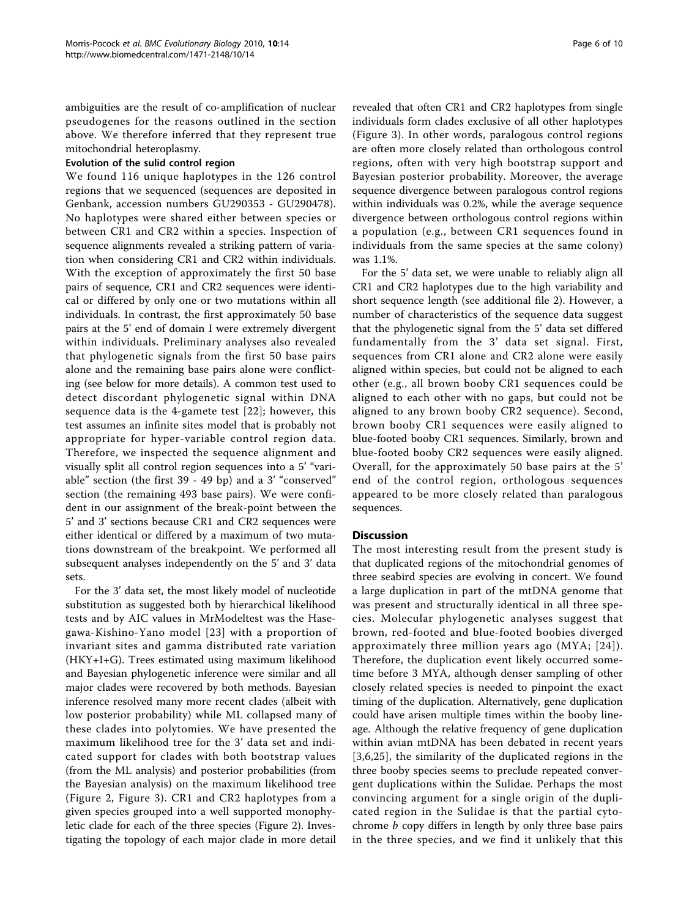ambiguities are the result of co-amplification of nuclear pseudogenes for the reasons outlined in the section above. We therefore inferred that they represent true mitochondrial heteroplasmy.

## Evolution of the sulid control region

We found 116 unique haplotypes in the 126 control regions that we sequenced (sequences are deposited in Genbank, accession numbers GU290353 - GU290478). No haplotypes were shared either between species or between CR1 and CR2 within a species. Inspection of sequence alignments revealed a striking pattern of variation when considering CR1 and CR2 within individuals. With the exception of approximately the first 50 base pairs of sequence, CR1 and CR2 sequences were identical or differed by only one or two mutations within all individuals. In contrast, the first approximately 50 base pairs at the 5' end of domain I were extremely divergent within individuals. Preliminary analyses also revealed that phylogenetic signals from the first 50 base pairs alone and the remaining base pairs alone were conflicting (see below for more details). A common test used to detect discordant phylogenetic signal within DNA sequence data is the 4-gamete test [[22\]](#page-9-0); however, this test assumes an infinite sites model that is probably not appropriate for hyper-variable control region data. Therefore, we inspected the sequence alignment and visually split all control region sequences into a 5' "variable" section (the first 39 - 49 bp) and a 3' "conserved" section (the remaining 493 base pairs). We were confident in our assignment of the break-point between the 5' and 3' sections because CR1 and CR2 sequences were either identical or differed by a maximum of two mutations downstream of the breakpoint. We performed all subsequent analyses independently on the 5' and 3' data sets.

For the 3' data set, the most likely model of nucleotide substitution as suggested both by hierarchical likelihood tests and by AIC values in MrModeltest was the Hasegawa-Kishino-Yano model [[23\]](#page-9-0) with a proportion of invariant sites and gamma distributed rate variation (HKY+I+G). Trees estimated using maximum likelihood and Bayesian phylogenetic inference were similar and all major clades were recovered by both methods. Bayesian inference resolved many more recent clades (albeit with low posterior probability) while ML collapsed many of these clades into polytomies. We have presented the maximum likelihood tree for the 3' data set and indicated support for clades with both bootstrap values (from the ML analysis) and posterior probabilities (from the Bayesian analysis) on the maximum likelihood tree (Figure [2](#page-6-0), Figure [3\)](#page-7-0). CR1 and CR2 haplotypes from a given species grouped into a well supported monophyletic clade for each of the three species (Figure [2](#page-6-0)). Investigating the topology of each major clade in more detail

revealed that often CR1 and CR2 haplotypes from single individuals form clades exclusive of all other haplotypes (Figure [3\)](#page-7-0). In other words, paralogous control regions are often more closely related than orthologous control regions, often with very high bootstrap support and Bayesian posterior probability. Moreover, the average sequence divergence between paralogous control regions within individuals was 0.2%, while the average sequence divergence between orthologous control regions within a population (e.g., between CR1 sequences found in individuals from the same species at the same colony) was 1.1%.

For the 5' data set, we were unable to reliably align all CR1 and CR2 haplotypes due to the high variability and short sequence length (see additional file [2](#page-8-0)). However, a number of characteristics of the sequence data suggest that the phylogenetic signal from the 5' data set differed fundamentally from the 3' data set signal. First, sequences from CR1 alone and CR2 alone were easily aligned within species, but could not be aligned to each other (e.g., all brown booby CR1 sequences could be aligned to each other with no gaps, but could not be aligned to any brown booby CR2 sequence). Second, brown booby CR1 sequences were easily aligned to blue-footed booby CR1 sequences. Similarly, brown and blue-footed booby CR2 sequences were easily aligned. Overall, for the approximately 50 base pairs at the 5' end of the control region, orthologous sequences appeared to be more closely related than paralogous sequences.

## **Discussion**

The most interesting result from the present study is that duplicated regions of the mitochondrial genomes of three seabird species are evolving in concert. We found a large duplication in part of the mtDNA genome that was present and structurally identical in all three species. Molecular phylogenetic analyses suggest that brown, red-footed and blue-footed boobies diverged approximately three million years ago (MYA; [[24](#page-9-0)]). Therefore, the duplication event likely occurred sometime before 3 MYA, although denser sampling of other closely related species is needed to pinpoint the exact timing of the duplication. Alternatively, gene duplication could have arisen multiple times within the booby lineage. Although the relative frequency of gene duplication within avian mtDNA has been debated in recent years [[3,6,25](#page-9-0)], the similarity of the duplicated regions in the three booby species seems to preclude repeated convergent duplications within the Sulidae. Perhaps the most convincing argument for a single origin of the duplicated region in the Sulidae is that the partial cytochrome  $b$  copy differs in length by only three base pairs in the three species, and we find it unlikely that this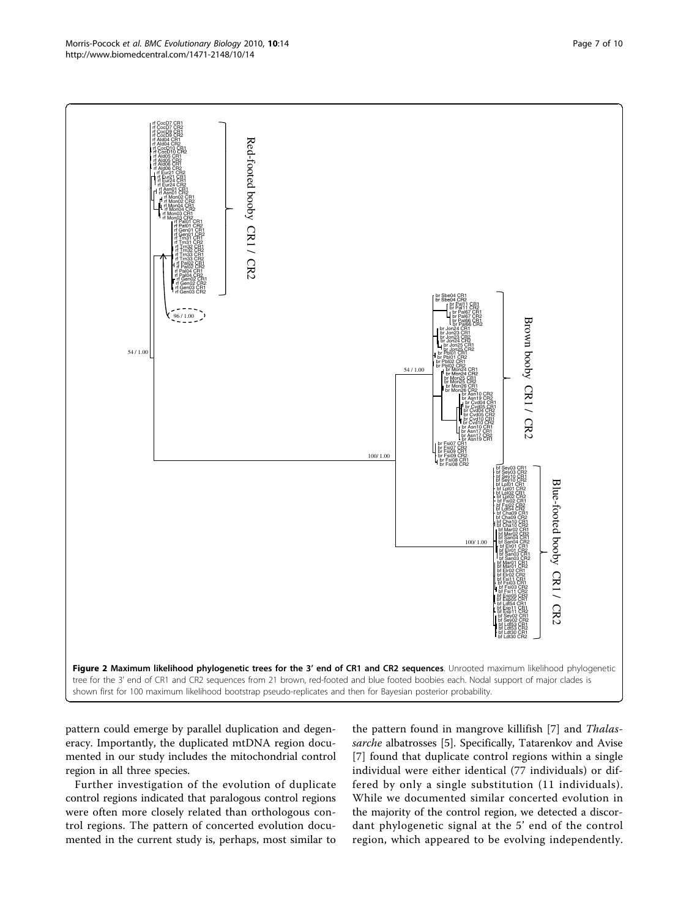<span id="page-6-0"></span>

pattern could emerge by parallel duplication and degeneracy. Importantly, the duplicated mtDNA region documented in our study includes the mitochondrial control region in all three species.

Further investigation of the evolution of duplicate control regions indicated that paralogous control regions were often more closely related than orthologous control regions. The pattern of concerted evolution documented in the current study is, perhaps, most similar to

the pattern found in mangrove killifish [[7](#page-9-0)] and Thalassarche albatrosses [\[5](#page-9-0)]. Specifically, Tatarenkov and Avise [[7](#page-9-0)] found that duplicate control regions within a single individual were either identical (77 individuals) or differed by only a single substitution (11 individuals). While we documented similar concerted evolution in the majority of the control region, we detected a discordant phylogenetic signal at the 5' end of the control region, which appeared to be evolving independently.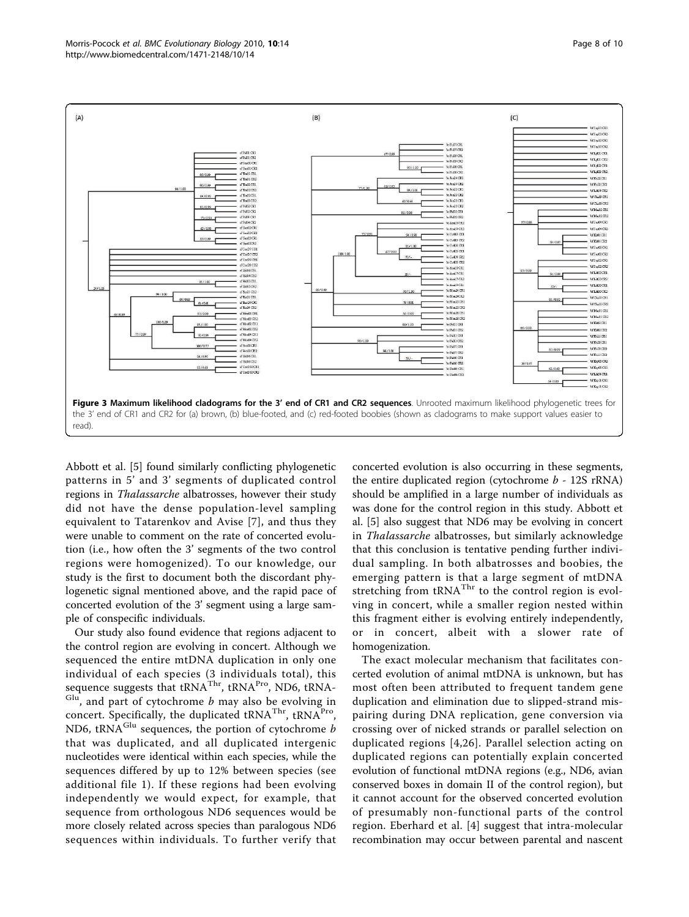<span id="page-7-0"></span>

Abbott et al. [\[5](#page-9-0)] found similarly conflicting phylogenetic patterns in 5' and 3' segments of duplicated control regions in Thalassarche albatrosses, however their study did not have the dense population-level sampling equivalent to Tatarenkov and Avise [\[7](#page-9-0)], and thus they were unable to comment on the rate of concerted evolution (i.e., how often the 3' segments of the two control regions were homogenized). To our knowledge, our study is the first to document both the discordant phylogenetic signal mentioned above, and the rapid pace of concerted evolution of the 3' segment using a large sample of conspecific individuals.

Our study also found evidence that regions adjacent to the control region are evolving in concert. Although we sequenced the entire mtDNA duplication in only one individual of each species (3 individuals total), this sequence suggests that  $tRNA<sup>Thr</sup>$ ,  $tRNA<sup>Pro</sup>$ , ND6,  $tRNA G<sup>Glu</sup>$ , and part of cytochrome b may also be evolving in concert. Specifically, the duplicated tRNA<sup>Thr</sup>, tRNA<sup>Pro</sup>, ND6, tRNA $^{Glu}$  sequences, the portion of cytochrome  $b$ that was duplicated, and all duplicated intergenic nucleotides were identical within each species, while the sequences differed by up to 12% between species (see additional file [1](#page-8-0)). If these regions had been evolving independently we would expect, for example, that sequence from orthologous ND6 sequences would be more closely related across species than paralogous ND6 sequences within individuals. To further verify that

concerted evolution is also occurring in these segments, the entire duplicated region (cytochrome  $b$  - 12S rRNA) should be amplified in a large number of individuals as was done for the control region in this study. Abbott et al. [\[5](#page-9-0)] also suggest that ND6 may be evolving in concert in Thalassarche albatrosses, but similarly acknowledge that this conclusion is tentative pending further individual sampling. In both albatrosses and boobies, the emerging pattern is that a large segment of mtDNA stretching from  $tRNA^{Thr}$  to the control region is evolving in concert, while a smaller region nested within this fragment either is evolving entirely independently, or in concert, albeit with a slower rate of homogenization.

The exact molecular mechanism that facilitates concerted evolution of animal mtDNA is unknown, but has most often been attributed to frequent tandem gene duplication and elimination due to slipped-strand mispairing during DNA replication, gene conversion via crossing over of nicked strands or parallel selection on duplicated regions [\[4,26](#page-9-0)]. Parallel selection acting on duplicated regions can potentially explain concerted evolution of functional mtDNA regions (e.g., ND6, avian conserved boxes in domain II of the control region), but it cannot account for the observed concerted evolution of presumably non-functional parts of the control region. Eberhard et al. [[4\]](#page-9-0) suggest that intra-molecular recombination may occur between parental and nascent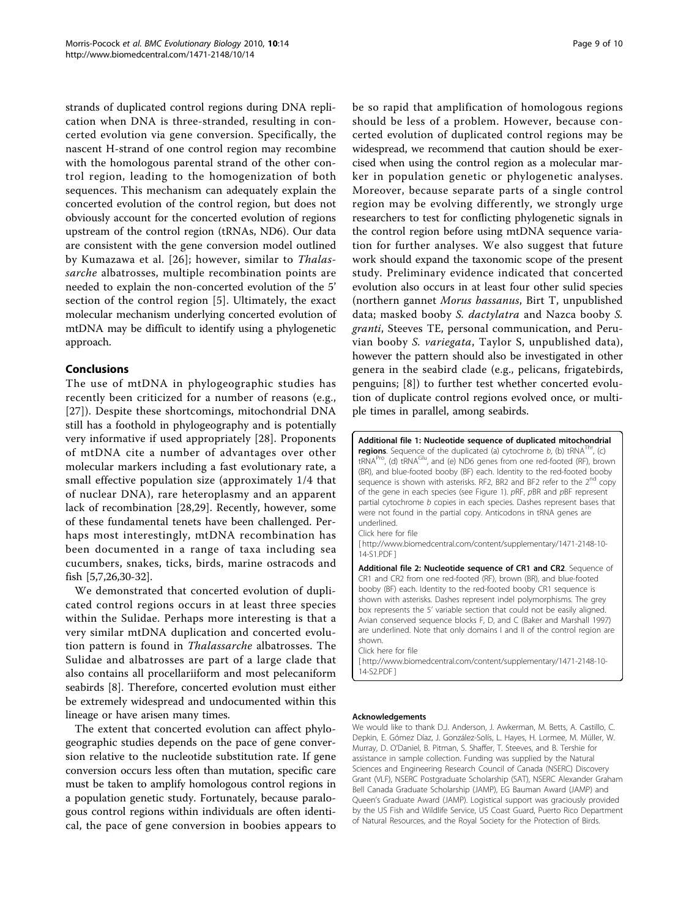<span id="page-8-0"></span>strands of duplicated control regions during DNA replication when DNA is three-stranded, resulting in concerted evolution via gene conversion. Specifically, the nascent H-strand of one control region may recombine with the homologous parental strand of the other control region, leading to the homogenization of both sequences. This mechanism can adequately explain the concerted evolution of the control region, but does not obviously account for the concerted evolution of regions upstream of the control region (tRNAs, ND6). Our data are consistent with the gene conversion model outlined by Kumazawa et al. [[26\]](#page-9-0); however, similar to Thalassarche albatrosses, multiple recombination points are needed to explain the non-concerted evolution of the 5' section of the control region [[5](#page-9-0)]. Ultimately, the exact molecular mechanism underlying concerted evolution of mtDNA may be difficult to identify using a phylogenetic approach.

## Conclusions

The use of mtDNA in phylogeographic studies has recently been criticized for a number of reasons (e.g., [[27](#page-9-0)]). Despite these shortcomings, mitochondrial DNA still has a foothold in phylogeography and is potentially very informative if used appropriately [\[28\]](#page-9-0). Proponents of mtDNA cite a number of advantages over other molecular markers including a fast evolutionary rate, a small effective population size (approximately 1/4 that of nuclear DNA), rare heteroplasmy and an apparent lack of recombination [[28,29](#page-9-0)]. Recently, however, some of these fundamental tenets have been challenged. Perhaps most interestingly, mtDNA recombination has been documented in a range of taxa including sea cucumbers, snakes, ticks, birds, marine ostracods and fish [[5](#page-9-0),[7](#page-9-0),[26,30](#page-9-0)-[32\]](#page-9-0).

We demonstrated that concerted evolution of duplicated control regions occurs in at least three species within the Sulidae. Perhaps more interesting is that a very similar mtDNA duplication and concerted evolution pattern is found in Thalassarche albatrosses. The Sulidae and albatrosses are part of a large clade that also contains all procellariiform and most pelecaniform seabirds [[8\]](#page-9-0). Therefore, concerted evolution must either be extremely widespread and undocumented within this lineage or have arisen many times.

The extent that concerted evolution can affect phylogeographic studies depends on the pace of gene conversion relative to the nucleotide substitution rate. If gene conversion occurs less often than mutation, specific care must be taken to amplify homologous control regions in a population genetic study. Fortunately, because paralogous control regions within individuals are often identical, the pace of gene conversion in boobies appears to be so rapid that amplification of homologous regions should be less of a problem. However, because concerted evolution of duplicated control regions may be widespread, we recommend that caution should be exercised when using the control region as a molecular marker in population genetic or phylogenetic analyses. Moreover, because separate parts of a single control region may be evolving differently, we strongly urge researchers to test for conflicting phylogenetic signals in the control region before using mtDNA sequence variation for further analyses. We also suggest that future work should expand the taxonomic scope of the present study. Preliminary evidence indicated that concerted evolution also occurs in at least four other sulid species (northern gannet Morus bassanus, Birt T, unpublished data; masked booby S. dactylatra and Nazca booby S. granti, Steeves TE, personal communication, and Peruvian booby S. variegata, Taylor S, unpublished data), however the pattern should also be investigated in other genera in the seabird clade (e.g., pelicans, frigatebirds, penguins; [[8\]](#page-9-0)) to further test whether concerted evolution of duplicate control regions evolved once, or multiple times in parallel, among seabirds.

Additional file 1: Nucleotide sequence of duplicated mitochondrial **regions**. Sequence of the duplicated (a) cytochrome  $b$ , (b)  $tRNA^{Thr}$ , (c) tRNA<sup>Pro</sup>, (d) tRNA<sup>Glu</sup>, and (e) ND6 genes from one red-footed (RF), brown (BR), and blue-footed booby (BF) each. Identity to the red-footed booby sequence is shown with asterisks. RF2, BR2 and BF2 refer to the  $2<sup>nd</sup>$  copy of the gene in each species (see Figure [1](#page-3-0)). pRF, pBR and pBF represent partial cytochrome b copies in each species. Dashes represent bases that were not found in the partial copy. Anticodons in tRNA genes are underlined.

Click here for file

[ http://www.biomedcentral.com/content/supplementary/1471-2148-10- 14-S1.PDF ]

Additional file 2: Nucleotide sequence of CR1 and CR2. Sequence of CR1 and CR2 from one red-footed (RF), brown (BR), and blue-footed booby (BF) each. Identity to the red-footed booby CR1 sequence is shown with asterisks. Dashes represent indel polymorphisms. The grey box represents the 5' variable section that could not be easily aligned. Avian conserved sequence blocks F, D, and C (Baker and Marshall 1997) are underlined. Note that only domains I and II of the control region are shown.

Click here for file

[ http://www.biomedcentral.com/content/supplementary/1471-2148-10- 14-S2.PDF ]

#### Acknowledgements

We would like to thank D.J. Anderson, J. Awkerman, M. Betts, A. Castillo, C. Depkin, E. Gómez Díaz, J. González-Solís, L. Hayes, H. Lormee, M. Müller, W. Murray, D. O'Daniel, B. Pitman, S. Shaffer, T. Steeves, and B. Tershie for assistance in sample collection. Funding was supplied by the Natural Sciences and Engineering Research Council of Canada (NSERC) Discovery Grant (VLF), NSERC Postgraduate Scholarship (SAT), NSERC Alexander Graham Bell Canada Graduate Scholarship (JAMP), EG Bauman Award (JAMP) and Queen's Graduate Award (JAMP). Logistical support was graciously provided by the US Fish and Wildlife Service, US Coast Guard, Puerto Rico Department of Natural Resources, and the Royal Society for the Protection of Birds.